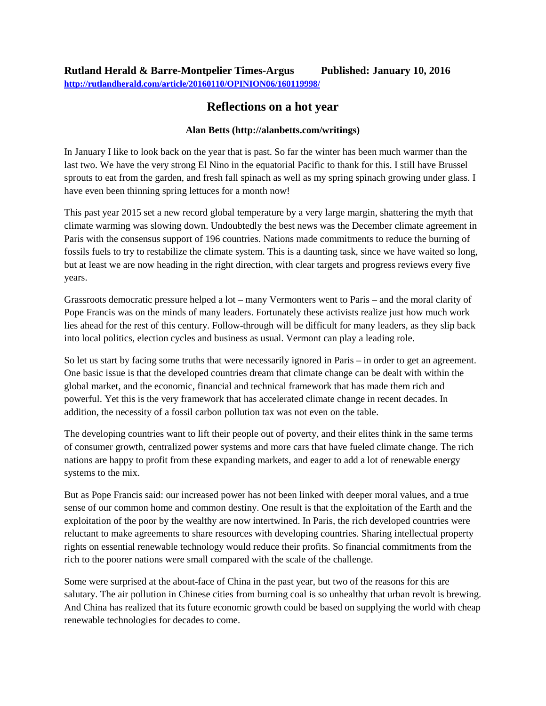## **Rutland Herald & Barre-Montpelier Times-Argus Published: January 10, 2016 <http://rutlandherald.com/article/20160110/OPINION06/160119998/>**

## **Reflections on a hot year**

## **Alan Betts (http://alanbetts.com/writings)**

In January I like to look back on the year that is past. So far the winter has been much warmer than the last two. We have the very strong El Nino in the equatorial Pacific to thank for this. I still have Brussel sprouts to eat from the garden, and fresh fall spinach as well as my spring spinach growing under glass. I have even been thinning spring lettuces for a month now!

This past year 2015 set a new record global temperature by a very large margin, shattering the myth that climate warming was slowing down. Undoubtedly the best news was the December climate agreement in Paris with the consensus support of 196 countries. Nations made commitments to reduce the burning of fossils fuels to try to restabilize the climate system. This is a daunting task, since we have waited so long, but at least we are now heading in the right direction, with clear targets and progress reviews every five years.

Grassroots democratic pressure helped a lot – many Vermonters went to Paris – and the moral clarity of Pope Francis was on the minds of many leaders. Fortunately these activists realize just how much work lies ahead for the rest of this century. Follow-through will be difficult for many leaders, as they slip back into local politics, election cycles and business as usual. Vermont can play a leading role.

So let us start by facing some truths that were necessarily ignored in Paris – in order to get an agreement. One basic issue is that the developed countries dream that climate change can be dealt with within the global market, and the economic, financial and technical framework that has made them rich and powerful. Yet this is the very framework that has accelerated climate change in recent decades. In addition, the necessity of a fossil carbon pollution tax was not even on the table.

The developing countries want to lift their people out of poverty, and their elites think in the same terms of consumer growth, centralized power systems and more cars that have fueled climate change. The rich nations are happy to profit from these expanding markets, and eager to add a lot of renewable energy systems to the mix.

But as Pope Francis said: our increased power has not been linked with deeper moral values, and a true sense of our common home and common destiny. One result is that the exploitation of the Earth and the exploitation of the poor by the wealthy are now intertwined. In Paris, the rich developed countries were reluctant to make agreements to share resources with developing countries. Sharing intellectual property rights on essential renewable technology would reduce their profits. So financial commitments from the rich to the poorer nations were small compared with the scale of the challenge.

Some were surprised at the about-face of China in the past year, but two of the reasons for this are salutary. The air pollution in Chinese cities from burning coal is so unhealthy that urban revolt is brewing. And China has realized that its future economic growth could be based on supplying the world with cheap renewable technologies for decades to come.